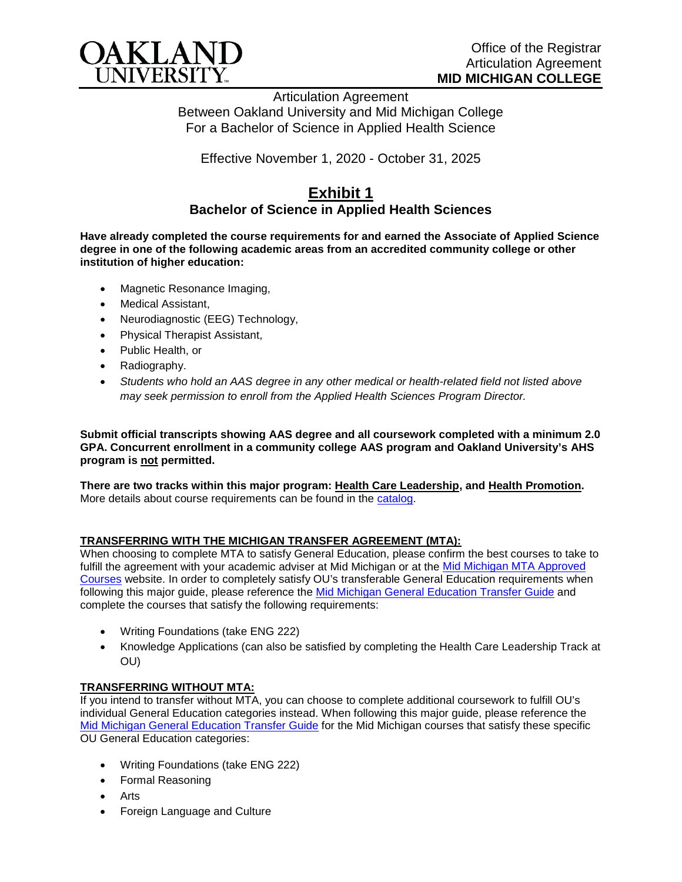

Articulation Agreement Between Oakland University and Mid Michigan College For a Bachelor of Science in Applied Health Science

Effective November 1, 2020 - October 31, 2025

## **Exhibit 1 Bachelor of Science in Applied Health Sciences**

**Have already completed the course requirements for and earned the Associate of Applied Science degree in one of the following academic areas from an accredited community college or other institution of higher education:**

- Magnetic Resonance Imaging,
- Medical Assistant,
- Neurodiagnostic (EEG) Technology,
- Physical Therapist Assistant,
- Public Health, or
- Radiography.
- *Students who hold an AAS degree in any other medical or health-related field not listed above may seek permission to enroll from the Applied Health Sciences Program Director.*

**Submit official transcripts showing AAS degree and all coursework completed with a minimum 2.0 GPA. Concurrent enrollment in a community college AAS program and Oakland University's AHS program is not permitted.**

**There are two tracks within this major program: Health Care Leadership, and Health Promotion.**  More details about course requirements can be found in the [catalog.](http://catalog.oakland.edu/preview_program.php?catoid=44&poid=6779)

## **TRANSFERRING WITH THE MICHIGAN TRANSFER AGREEMENT (MTA):**

When choosing to complete MTA to satisfy General Education, please confirm the best courses to take to fulfill the agreement with your academic adviser at Mid Michigan or at the Mid Michigan MTA Approved [Courses](https://www.midmich.edu/academics/transfer/mta) website. In order to completely satisfy OU's transferable General Education requirements when following this major guide, please reference the [Mid Michigan General Education Transfer Guide](https://www.oakland.edu/Assets/Oakland/program-guides/mid-michigan-community-college/university-general-education-requirements/Mid%20Michigan%20Gen%20Ed.pdf) and complete the courses that satisfy the following requirements:

- Writing Foundations (take ENG 222)
- Knowledge Applications (can also be satisfied by completing the Health Care Leadership Track at OU)

## **TRANSFERRING WITHOUT MTA:**

If you intend to transfer without MTA, you can choose to complete additional coursework to fulfill OU's individual General Education categories instead. When following this major guide, please reference the [Mid Michigan General Education Transfer Guide](https://www.oakland.edu/Assets/Oakland/program-guides/mid-michigan-community-college/university-general-education-requirements/Mid%20Michigan%20Gen%20Ed.pdf) for the Mid Michigan courses that satisfy these specific OU General Education categories:

- Writing Foundations (take ENG 222)
- Formal Reasoning
- Arts
- Foreign Language and Culture